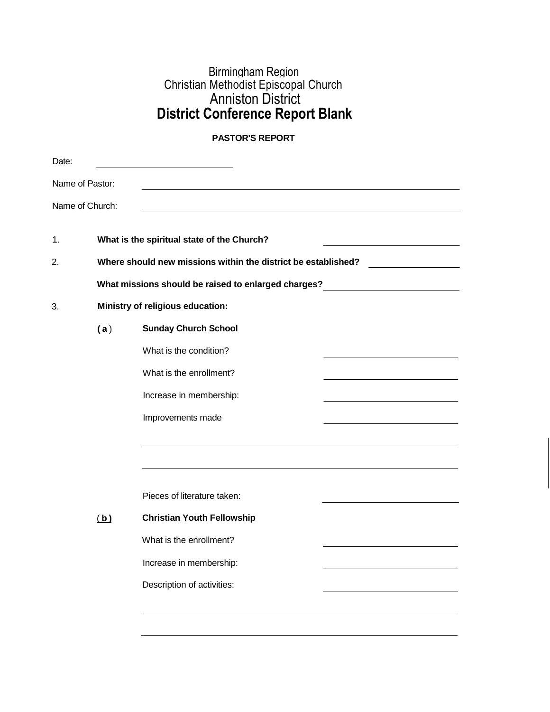## Birmingham Region Christian Methodist Episcopal Church Anniston District **District Conference Report Blank**

## **PASTOR'S REPORT**

| Date: |                                  |                                                                                                   |  |  |  |  |
|-------|----------------------------------|---------------------------------------------------------------------------------------------------|--|--|--|--|
|       | Name of Pastor:                  |                                                                                                   |  |  |  |  |
|       | Name of Church:                  |                                                                                                   |  |  |  |  |
| 1.    |                                  | What is the spiritual state of the Church?                                                        |  |  |  |  |
| 2.    |                                  | Where should new missions within the district be established?                                     |  |  |  |  |
|       |                                  | What missions should be raised to enlarged charges?<br><u> 1980 - Jan Barbara Barbara, maskin</u> |  |  |  |  |
| 3.    | Ministry of religious education: |                                                                                                   |  |  |  |  |
|       | (a)                              | <b>Sunday Church School</b>                                                                       |  |  |  |  |
|       |                                  | What is the condition?                                                                            |  |  |  |  |
|       |                                  | What is the enrollment?                                                                           |  |  |  |  |
|       |                                  | Increase in membership:                                                                           |  |  |  |  |
|       |                                  | Improvements made                                                                                 |  |  |  |  |
|       |                                  |                                                                                                   |  |  |  |  |
|       |                                  |                                                                                                   |  |  |  |  |
|       |                                  | Pieces of literature taken:                                                                       |  |  |  |  |
|       | (b)                              | <b>Christian Youth Fellowship</b>                                                                 |  |  |  |  |
|       |                                  | What is the enrollment?                                                                           |  |  |  |  |
|       |                                  | Increase in membership:                                                                           |  |  |  |  |
|       |                                  | Description of activities:                                                                        |  |  |  |  |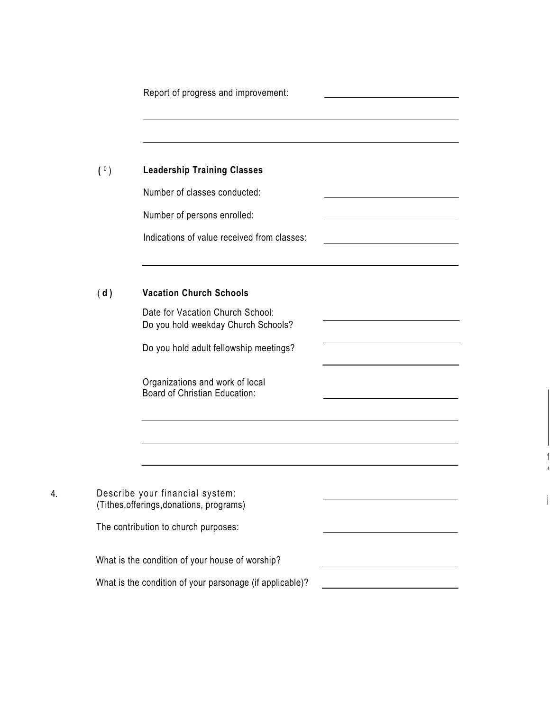|     | Report of progress and improvement:                                         |                                                                            |  |
|-----|-----------------------------------------------------------------------------|----------------------------------------------------------------------------|--|
| (0) | <b>Leadership Training Classes</b>                                          |                                                                            |  |
|     | Number of classes conducted:                                                |                                                                            |  |
|     | Number of persons enrolled:                                                 | the control of the control of the control of the control of the control of |  |
|     | Indications of value received from classes:                                 |                                                                            |  |
| (d) | <b>Vacation Church Schools</b>                                              |                                                                            |  |
|     | Date for Vacation Church School:<br>Do you hold weekday Church Schools?     |                                                                            |  |
|     | Do you hold adult fellowship meetings?                                      |                                                                            |  |
|     | Organizations and work of local<br>Board of Christian Education:            |                                                                            |  |
|     |                                                                             |                                                                            |  |
|     | Describe your financial system:<br>(Tithes, offerings, donations, programs) |                                                                            |  |
|     |                                                                             |                                                                            |  |
|     | The contribution to church purposes:                                        |                                                                            |  |
|     | What is the condition of your house of worship?                             |                                                                            |  |
|     | What is the condition of your parsonage (if applicable)?                    |                                                                            |  |

**1**

, i